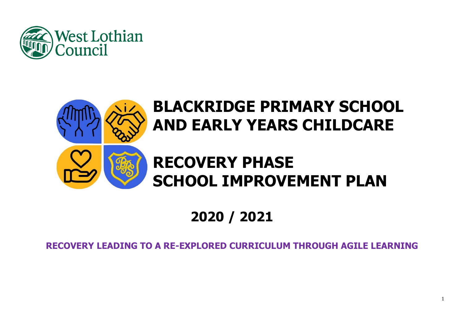



# **SCHOOL IMPROVEMENT PLAN**

# **2020 / 2021**

# **RECOVERY LEADING TO A RE-EXPLORED CURRICULUM THROUGH AGILE LEARNING**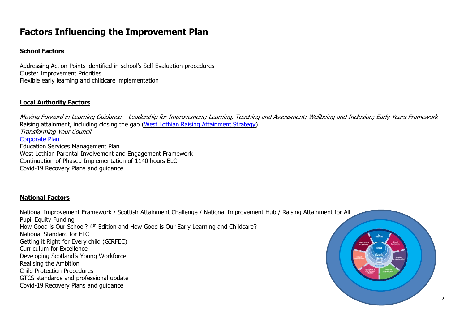# **Factors Influencing the Improvement Plan**

#### **School Factors**

Addressing Action Points identified in school's Self Evaluation procedures Cluster Improvement Priorities Flexible early learning and childcare implementation

#### **Local Authority Factors**

Moving Forward in Learning Guidance – Leadership for Improvement; Learning, Teaching and Assessment; Wellbeing and Inclusion; Early Years Framework Raising attainment, including closing the gap [\(West Lothian Raising Attainment Strategy\)](https://www.westlothian.gov.uk/media/29938/Raising-Attainment-Strategy-201819-to-202223/pdf/Raising_Attainment_Strategy.pdf) Transforming Your Council [Corporate Plan](https://www.westlothian.gov.uk/media/19488/Corporate-Plan-2018-2023/pdf/Corporate_Plan_2018_to_2023.pdf) Education Services Management Plan West Lothian Parental Involvement and Engagement Framework Continuation of Phased Implementation of 1140 hours ELC Covid-19 Recovery Plans and guidance

#### **National Factors**

National Improvement Framework / Scottish Attainment Challenge / National Improvement Hub / Raising Attainment for All Pupil Equity Funding How Good is Our School? 4<sup>th</sup> Edition and How Good is Our Early Learning and Childcare? National Standard for ELC Getting it Right for Every child (GIRFEC) Curriculum for Excellence Developing Scotland's Young Workforce Realising the Ambition Child Protection Procedures GTCS standards and professional update Covid-19 Recovery Plans and guidance



2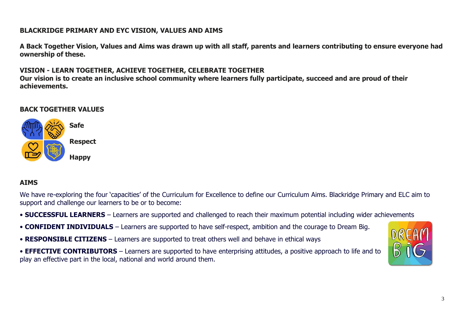## **BLACKRIDGE PRIMARY AND EYC VISION, VALUES AND AIMS**

**A Back Together Vision, Values and Aims was drawn up with all staff, parents and learners contributing to ensure everyone had ownership of these.**

# **VISION - LEARN TOGETHER, ACHIEVE TOGETHER, CELEBRATE TOGETHER**

Our vision is to create an inclusive school community where learners fully participate, succeed and are proud of their **achievements.**

## **BACK TOGETHER VALUES**



# **AIMS**

We have re-exploring the four 'capacities' of the Curriculum for Excellence to define our Curriculum Aims. Blackridge Primary and ELC aim to support and challenge our learners to be or to become:

- **SUCCESSFUL LEARNERS** Learners are supported and challenged to reach their maximum potential including wider achievements
- **CONFIDENT INDIVIDUALS** Learners are supported to have self-respect, ambition and the courage to Dream Big.
- **RESPONSIBLE CITIZENS** Learners are supported to treat others well and behave in ethical ways
- **EFFECTIVE CONTRIBUTORS** Learners are supported to have enterprising attitudes, a positive approach to life and to play an effective part in the local, national and world around them.

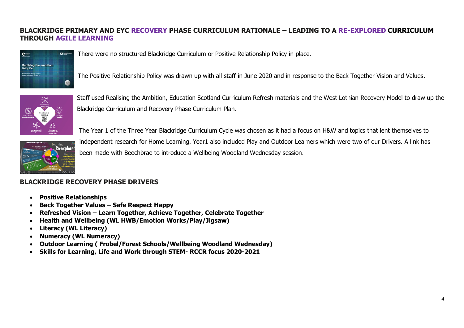# **BLACKRIDGE PRIMARY AND EYC RECOVERY PHASE CURRICULUM RATIONALE – LEADING TO A RE-EXPLORED CURRICULUM THROUGH AGILE LEARNING**



There were no structured Blackridge Curriculum or Positive Relationship Policy in place.

The Positive Relationship Policy was drawn up with all staff in June 2020 and in response to the Back Together Vision and Values.



Staff used Realising the Ambition, Education Scotland Curriculum Refresh materials and the West Lothian Recovery Model to draw up the Blackridge Curriculum and Recovery Phase Curriculum Plan.



The Year 1 of the Three Year Blackridge Curriculum Cycle was chosen as it had a focus on H&W and topics that lent themselves to independent research for Home Learning. Year1 also included Play and Outdoor Learners which were two of our Drivers. A link has been made with Beechbrae to introduce a Wellbeing Woodland Wednesday session.

## **BLACKRIDGE RECOVERY PHASE DRIVERS**

- **Positive Relationships**
- **Back Together Values – Safe Respect Happy**
- **Refreshed Vision – Learn Together, Achieve Together, Celebrate Together**
- **Health and Wellbeing (WL HWB/Emotion Works/Play/Jigsaw)**
- **Literacy (WL Literacy)**
- **Numeracy (WL Numeracy)**
- **Outdoor Learning ( Frobel/Forest Schools/Wellbeing Woodland Wednesday)**
- **Skills for Learning, Life and Work through STEM- RCCR focus 2020-2021**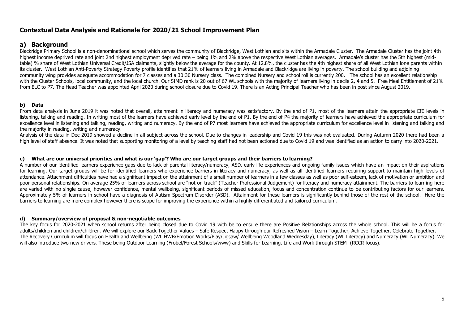#### **Contextual Data Analysis and Rationale for 2020/21 School Improvement Plan**

#### **a) Background**

Blackridge Primary School is a non-denominational school which serves the community of Blackridge, West Lothian and sits within the Armadale Cluster. The Armadale Cluster has the joint 4th highest income deprived rate and joint 2nd highest employment deprived rate – being 1% and 2% above the respective West Lothian averages. Armadale's cluster has the 5th highest (midtable) % share of West Lothian Universal Credit/JSA claimants, slightly below the average for the county. At 12.8%, the cluster has the 4th highest share of all West Lothian lone parents within its cluster. West Lothian Anti-Poverty Strategy Poverty profile identifies that 21% of learners living in Armadale and Blackridge are living in poverty. The school building and adjoining community wing provides adequate accommodation for 7 classes and a 30:30 Nursery class. The combined Nursery and school roll is currently 200. The school has an excellent relationship with the Cluster Schools, local community, and the local church. Our SIMD rank is 20 out of 67 WL schools with the majority of learners living in decile 2, 4 and 5. Free Meal Entitlement of 21% from ELC to P7. The Head Teacher was appointed April 2020 during school closure due to Covid 19. There is an Acting Principal Teacher who has been in post since August 2019.

#### **b) Data**

From data analysis in June 2019 it was noted that overall, attainment in literacy and numeracy was satisfactory. By the end of P1, most of the learners attain the appropriate CfE levels in listening, talking and reading. In writing most of the learners have achieved early level by the end of P1. By the end of P4 the majority of learners have achieved the appropriate curriculum for excellence level in listening and talking, reading, writing and numeracy. By the end of P7 most learners have achieved the appropriate curriculum for excellence level in listening and talking and the majority in reading, writing and numeracy.

Analysis of the data in Dec 2019 showed a decline in all subject across the school. Due to changes in leadership and Covid 19 this was not evaluated. During Autumn 2020 there had been a high level of staff absence. It was noted that supporting monitoring of a level by teaching staff had not been actioned due to Covid 19 and was identified as an action to carry into 2020-2021.

#### **c) What are our universal priorities and what is our 'gap'? Who are our target groups and their barriers to learning?**

A number of our identified learners experience gaps due to lack of parental literacy/numeracy, ASD, early life experiences and ongoing family issues which have an impact on their aspirations for learning. Our target groups will be for identified learners who experience barriers in literacy and numeracy, as well as all identified learners requiring support to maintain high levels of attendance. Attachment difficulties have had a significant impact on the attainment of a small number of learners in a few classes as well as poor self-esteem, lack of motivation or ambition and poor personal relationships. On average 25% of learners across school are "not on track" (Teacher Professional Judgement) for literacy and numeracy attainment. The barriers to learning here are varied with no single cause, however confidence, mental wellbeing, significant periods of missed education, focus and concentration continue to be contributing factors for our learners. Approximately 5% of learners in school have a diagnosis of Autism Spectrum Disorder (ASD). Attainment for these learners is significantly behind those of the rest of the school. Here the barriers to learning are more complex however there is scope for improving the experience within a highly differentiated and tailored curriculum.

#### **d) Summary/overview of proposal & non-negotiable outcomes**

The key focus for 2020-2021 when school returns after being closed due to Covid 19 with be to ensure there are Positive Relationships across the whole school. This will be a focus for adults/children and children/children. We will explore our Back Together Values – Safe Respect Happy through our Refreshed Vision – Learn Together, Achieve Together, Celebrate Together. The Recovery Curriculum will focus on Health and Wellbeing (WL HWB/Emotion Works/Play/Jigsaw/ Wellbeing Woodland Wednesday), Literacy (WL Literacy) and Numeracy (WL Numeracy). We will also introduce two new drivers. These being Outdoor Learning (Frobel/Forest Schools/www) and Skills for Learning, Life and Work through STEM- (RCCR focus).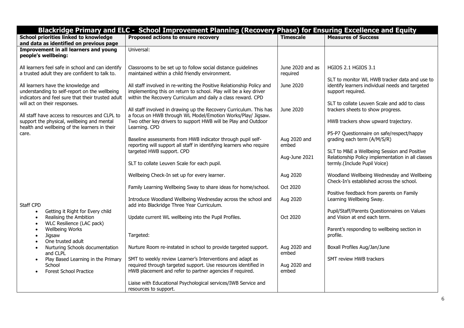|                                                                                                                                                                       | Blackridge Primary and ELC - School Improvement Planning (Recovery Phase) for Ensuring Excellence and Equity                                                                                              |                                        |                                                                                                                                                                              |
|-----------------------------------------------------------------------------------------------------------------------------------------------------------------------|-----------------------------------------------------------------------------------------------------------------------------------------------------------------------------------------------------------|----------------------------------------|------------------------------------------------------------------------------------------------------------------------------------------------------------------------------|
| <b>School priorities linked to knowledge</b><br>and data as identified on previous page                                                                               | Proposed actions to ensure recovery                                                                                                                                                                       | <b>Timescale</b>                       | <b>Measures of Success</b>                                                                                                                                                   |
| Improvement in all learners and young<br>people's wellbeing:                                                                                                          | Universal:                                                                                                                                                                                                |                                        |                                                                                                                                                                              |
| All learners feel safe in school and can identify<br>a trusted adult they are confident to talk to.                                                                   | Classrooms to be set up to follow social distance quidelines<br>maintained within a child friendly environment.                                                                                           | June 2020 and as<br>required           | <b>HGIOS 2.1 HGIOS 3.1</b><br>SLT to monitor WL HWB tracker data and use to                                                                                                  |
| All learners have the knowledge and<br>understanding to self-report on the wellbeing<br>indicators and feel sure that their trusted adult                             | All staff involved in re-writing the Positive Relationship Policy and<br>implementing this on return to school. Play will be a key driver<br>within the Recovery Curriculum and daily a class reward. CPD | June 2020                              | identify learners individual needs and targeted<br>support required.                                                                                                         |
| will act on their responses.<br>All staff have access to resources and CLPL to<br>support the physical, wellbeing and mental                                          | All staff involved in drawing up the Recovery Curriculum. This has<br>a focus on HWB through WL Model/Emotion Works/Play/ Jigsaw.<br>Two other key drivers to support HWB will be Play and Outdoor        | June 2020                              | SLT to collate Leuven Scale and add to class<br>trackers sheets to show progress.<br>HWB trackers show upward trajectory.                                                    |
| health and wellbeing of the learners in their<br>care.                                                                                                                | Learning. CPD<br>Baseline assessments from HWB indicator through pupil self-<br>reporting will support all staff in identifying learners who require<br>targeted HWB support. CPD                         | Aug 2020 and<br>embed<br>Aug-June 2021 | P5-P7 Questionnaire on safe/respect/happy<br>grading each term (A/M/S/R)<br>SLT to M&E a Wellbeing Session and Positive<br>Relationship Policy implementation in all classes |
|                                                                                                                                                                       | SLT to collate Leuven Scale for each pupil.<br>Wellbeing Check-In set up for every learner.                                                                                                               | Aug 2020                               | termly.(Include Pupil Voice)<br>Woodland Wellbeing Wednesday and Wellbeing<br>Check-In's established across the school.                                                      |
| Staff CPD                                                                                                                                                             | Family Learning Wellbeing Sway to share ideas for home/school.<br>Introduce Woodland Wellbeing Wednesday across the school and<br>add into Blackridge Three Year Curriculum.                              | Oct 2020<br>Aug 2020                   | Positive feedback from parents on Family<br>Learning Wellbeing Sway.                                                                                                         |
| Getting it Right for Every child<br>$\bullet$<br>Realising the Ambition<br>$\bullet$<br>WLC Resilience (LAC pack)<br>$\bullet$<br><b>Wellbeing Works</b><br>$\bullet$ | Update current WL wellbeing into the Pupil Profiles.                                                                                                                                                      | Oct 2020                               | Pupil/Staff/Parents Questionnaires on Values<br>and Vision at end each term.<br>Parent's responding to wellbeing section in                                                  |
| Jigsaw<br>$\bullet$<br>One trusted adult                                                                                                                              | Targeted:                                                                                                                                                                                                 |                                        | profile.                                                                                                                                                                     |
| Nurturing Schools documentation<br>$\bullet$<br>and CLPL<br>Play Based Learning in the Primary                                                                        | Nurture Room re-instated in school to provide targeted support.<br>SMT to weekly review Learner's Interventions and adapt as                                                                              | Aug 2020 and<br>embed                  | Boxall Profiles Aug/Jan/June<br><b>SMT review HWB trackers</b>                                                                                                               |
| $\bullet$<br>School<br><b>Forest School Practice</b>                                                                                                                  | required through targeted support. Use resources identified in<br>HWB placement and refer to partner agencies if required.                                                                                | Aug 2020 and<br>embed                  |                                                                                                                                                                              |
|                                                                                                                                                                       | Liaise with Educational Psychological services/IWB Service and<br>resources to support.                                                                                                                   |                                        |                                                                                                                                                                              |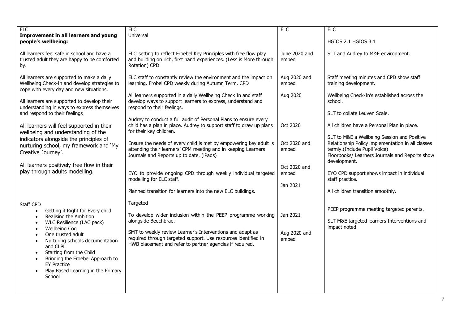| EIC<br>Improvement in all learners and young<br>people's wellbeing:                                                                                                                                                                                                                                                                                                                                                                                        | <b>ELC</b><br>Universal                                                                                                                                                                                                                                                                     | <b>ELC</b>                        | <b>ELC</b><br>HGIOS 2.1 HGIOS 3.1                                                                                                                                                  |
|------------------------------------------------------------------------------------------------------------------------------------------------------------------------------------------------------------------------------------------------------------------------------------------------------------------------------------------------------------------------------------------------------------------------------------------------------------|---------------------------------------------------------------------------------------------------------------------------------------------------------------------------------------------------------------------------------------------------------------------------------------------|-----------------------------------|------------------------------------------------------------------------------------------------------------------------------------------------------------------------------------|
| All learners feel safe in school and have a<br>trusted adult they are happy to be comforted<br>by.                                                                                                                                                                                                                                                                                                                                                         | ELC setting to reflect Froebel Key Principles with free flow play<br>and building on rich, first hand experiences. (Less is More through<br>Rotation) CPD                                                                                                                                   | June 2020 and<br>embed            | SLT and Audrey to M&E environment.                                                                                                                                                 |
| All learners are supported to make a daily<br>Wellbeing Check-In and develop strategies to<br>cope with every day and new situations.                                                                                                                                                                                                                                                                                                                      | ELC staff to constantly review the environment and the impact on<br>learning. Frobel CPD weekly during Autumn Term. CPD                                                                                                                                                                     | Aug 2020 and<br>embed             | Staff meeting minutes and CPD show staff<br>training development.                                                                                                                  |
| All learners are supported to develop their<br>understanding in ways to express themselves<br>and respond to their feelings                                                                                                                                                                                                                                                                                                                                | All learners supported in a daily Wellbeing Check In and staff<br>develop ways to support learners to express, understand and<br>respond to their feelings.                                                                                                                                 | Aug 2020                          | Wellbeing Check-In's established across the<br>school.<br>SLT to collate Leuven Scale.                                                                                             |
| All learners will feel supported in their<br>wellbeing and understanding of the                                                                                                                                                                                                                                                                                                                                                                            | Audrey to conduct a full audit of Personal Plans to ensure every<br>child has a plan in place. Audrey to support staff to draw up plans<br>for their key children.                                                                                                                          | Oct 2020                          | All children have a Personal Plan in place.                                                                                                                                        |
| indicators alongside the principles of<br>nurturing school, my framework and 'My<br>Creative Journey'.                                                                                                                                                                                                                                                                                                                                                     | Ensure the needs of every child is met by empowering key adult is<br>attending their learners' CPM meeting and in keeping Learners<br>Journals and Reports up to date. (iPads)                                                                                                              | Oct 2020 and<br>embed             | SLT to M&E a Wellbeing Session and Positive<br>Relationship Policy implementation in all classes<br>termly.(Include Pupil Voice)<br>Floorbooks/ Learners Journals and Reports show |
| All learners positively free flow in their<br>play through adults modelling.                                                                                                                                                                                                                                                                                                                                                                               | EYO to provide ongoing CPD through weekly individual targeted<br>modelling for ELC staff.<br>Planned transition for learners into the new ELC buildings.                                                                                                                                    | Oct 2020 and<br>embed<br>Jan 2021 | development.<br>EYO CPD support shows impact in individual<br>staff practice.<br>All children transition smoothly.                                                                 |
| Staff CPD<br>Getting it Right for Every child<br>$\bullet$<br>Realising the Ambition<br>$\bullet$<br>WLC Resilience (LAC pack)<br>$\bullet$<br><b>Wellbeing Cog</b><br>$\bullet$<br>One trusted adult<br>$\bullet$<br>Nurturing schools documentation<br>$\bullet$<br>and CLPL<br>Starting from the Child<br>$\bullet$<br>Bringing the Froebel Approach to<br>$\bullet$<br><b>EY Practice</b><br>Play Based Learning in the Primary<br>$\bullet$<br>School | Targeted<br>To develop wider inclusion within the PEEP programme working<br>alongside Beechbrae.<br>SMT to weekly review Learner's Interventions and adapt as<br>required through targeted support. Use resources identified in<br>HWB placement and refer to partner agencies if required. | Jan 2021<br>Aug 2020 and<br>embed | PEEP programme meeting targeted parents.<br>SLT M&E targeted learners Interventions and<br>impact noted.                                                                           |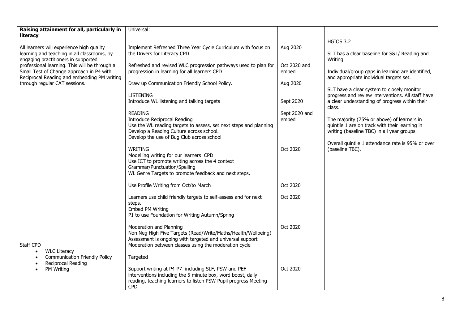| Raising attainment for all, particularly in<br>literacy                                                                         | Universal:                                                                                                                                                                                                     |               |                                                                                                                                            |
|---------------------------------------------------------------------------------------------------------------------------------|----------------------------------------------------------------------------------------------------------------------------------------------------------------------------------------------------------------|---------------|--------------------------------------------------------------------------------------------------------------------------------------------|
|                                                                                                                                 |                                                                                                                                                                                                                |               | <b>HGIOS 3.2</b>                                                                                                                           |
| All learners will experience high quality<br>learning and teaching in all classrooms, by<br>engaging practitioners in supported | Implement Refreshed Three Year Cycle Curriculum with focus on<br>the Drivers for Literacy CPD                                                                                                                  | Aug 2020      | SLT has a clear baseline for S&L/ Reading and<br>Writing.                                                                                  |
| professional learning. This will be through a                                                                                   | Refreshed and revised WLC progression pathways used to plan for                                                                                                                                                | Oct 2020 and  |                                                                                                                                            |
| Small Test of Change approach in P4 with<br>Reciprocal Reading and embedding PM writing                                         | progression in learning for all learners CPD                                                                                                                                                                   | embed         | Individual/group gaps in learning are identified,<br>and appropriate individual targets set.                                               |
| through regular CAT sessions.                                                                                                   | Draw up Communication Friendly School Policy.                                                                                                                                                                  | Aug 2020      | SLT have a clear system to closely monitor                                                                                                 |
|                                                                                                                                 | <b>LISTENING</b>                                                                                                                                                                                               |               | progress and review interventions. All staff have                                                                                          |
|                                                                                                                                 | Introduce WL listening and talking targets                                                                                                                                                                     | Sept 2020     | a clear understanding of progress within their<br>class.                                                                                   |
|                                                                                                                                 | <b>READING</b>                                                                                                                                                                                                 | Sept 2020 and |                                                                                                                                            |
|                                                                                                                                 | <b>Introduce Reciprocal Reading</b><br>Use the WL reading targets to assess, set next steps and planning<br>Develop a Reading Culture across school.<br>Develop the use of Bug Club across school              | embed         | The majority (75% or above) of learners in<br>quintile 1 are on track with their learning in<br>writing (baseline TBC) in all year groups. |
|                                                                                                                                 |                                                                                                                                                                                                                |               | Overall quintile 1 attendance rate is 95% or over                                                                                          |
|                                                                                                                                 | <b>WRITING</b><br>Modelling writing for our learners CPD<br>Use ICT to promote writing across the 4 context<br>Grammar/Punctuation/Spelling<br>WL Genre Targets to promote feedback and next steps.            | Oct 2020      | (baseline TBC).                                                                                                                            |
|                                                                                                                                 | Use Profile Writing from Oct/to March                                                                                                                                                                          | Oct 2020      |                                                                                                                                            |
|                                                                                                                                 | Learners use child friendly targets to self-assess and for next<br>steps.<br>Embed PM Writing<br>P1 to use Foundation for Writing Autumn/Spring                                                                | Oct 2020      |                                                                                                                                            |
| Staff CPD                                                                                                                       | Moderation and Planning<br>Non Neg High Five Targets (Read/Write/Maths/Health/Wellbeing)<br>Assessment is ongoing with targeted and universal support<br>Moderation between classes using the moderation cycle | Oct 2020      |                                                                                                                                            |
| <b>WLC Literacy</b><br>$\bullet$<br><b>Communication Friendly Policy</b><br>$\bullet$                                           | Targeted                                                                                                                                                                                                       |               |                                                                                                                                            |
| Reciprocal Reading<br>$\bullet$<br>PM Writing                                                                                   | Support writing at P4-P7 including SLF, PSW and PEF<br>interventions including the 5 minute box, word boost, daily<br>reading, teaching learners to listen PSW Pupil progress Meeting<br><b>CPD</b>            | Oct 2020      |                                                                                                                                            |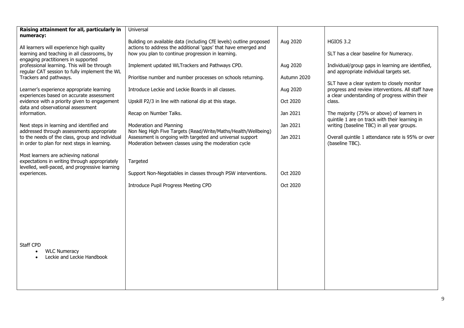| Raising attainment for all, particularly in<br>numeracy:                                        | Universal                                                                                                           |             |                                                                                                 |
|-------------------------------------------------------------------------------------------------|---------------------------------------------------------------------------------------------------------------------|-------------|-------------------------------------------------------------------------------------------------|
|                                                                                                 | Building on available data (including CfE levels) outline proposed                                                  | Aug 2020    | <b>HGIOS 3.2</b>                                                                                |
| All learners will experience high quality<br>learning and teaching in all classrooms, by        | actions to address the additional 'gaps' that have emerged and<br>how you plan to continue progression in learning. |             | SLT has a clear baseline for Numeracy.                                                          |
| engaging practitioners in supported                                                             |                                                                                                                     |             |                                                                                                 |
| professional learning. This will be through<br>regular CAT session to fully implement the WL    | Implement updated WLTrackers and Pathways CPD.                                                                      | Aug 2020    | Individual/group gaps in learning are identified,<br>and appropriate individual targets set.    |
| Trackers and pathways.                                                                          | Prioritise number and number processes on schools returning.                                                        | Autumn 2020 |                                                                                                 |
| Learner's experience appropriate learning                                                       | Introduce Leckie and Leckie Boards in all classes.                                                                  | Aug 2020    | SLT have a clear system to closely monitor<br>progress and review interventions. All staff have |
| experiences based on accurate assessment                                                        |                                                                                                                     |             | a clear understanding of progress within their                                                  |
| evidence with a priority given to engagement<br>data and observational assessment               | Upskill P2/3 in line with national dip at this stage.                                                               | Oct 2020    | class.                                                                                          |
| information.                                                                                    | Recap on Number Talks.                                                                                              | Jan 2021    | The majority (75% or above) of learners in                                                      |
| Next steps in learning and identified and                                                       | Moderation and Planning                                                                                             | Jan 2021    | quintile 1 are on track with their learning in<br>writing (baseline TBC) in all year groups.    |
| addressed through assessments appropriate                                                       | Non Neg High Five Targets (Read/Write/Maths/Health/Wellbeing)                                                       |             |                                                                                                 |
| to the needs of the class, group and individual<br>in order to plan for next steps in learning. | Assessment is ongoing with targeted and universal support<br>Moderation between classes using the moderation cycle  | Jan 2021    | Overall quintile 1 attendance rate is 95% or over<br>(baseline TBC).                            |
| Most learners are achieving national                                                            |                                                                                                                     |             |                                                                                                 |
| expectations in writing through appropriately                                                   | Targeted                                                                                                            |             |                                                                                                 |
| levelled, well-paced, and progressive learning<br>experiences.                                  | Support Non-Negotiables in classes through PSW interventions.                                                       | Oct 2020    |                                                                                                 |
|                                                                                                 |                                                                                                                     |             |                                                                                                 |
|                                                                                                 | Introduce Pupil Progress Meeting CPD                                                                                | Oct 2020    |                                                                                                 |
|                                                                                                 |                                                                                                                     |             |                                                                                                 |
|                                                                                                 |                                                                                                                     |             |                                                                                                 |
|                                                                                                 |                                                                                                                     |             |                                                                                                 |
|                                                                                                 |                                                                                                                     |             |                                                                                                 |
|                                                                                                 |                                                                                                                     |             |                                                                                                 |
| Staff CPD                                                                                       |                                                                                                                     |             |                                                                                                 |
| <b>WLC Numeracy</b><br>$\bullet$                                                                |                                                                                                                     |             |                                                                                                 |
| Leckie and Leckie Handbook                                                                      |                                                                                                                     |             |                                                                                                 |
|                                                                                                 |                                                                                                                     |             |                                                                                                 |
|                                                                                                 |                                                                                                                     |             |                                                                                                 |
|                                                                                                 |                                                                                                                     |             |                                                                                                 |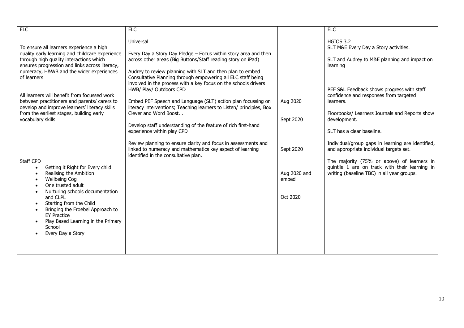| ELC                                                                                                                                                                                                                                                                                                                                                                                            | <b>ELC</b>                                                                                                                                                                                                                                                                                                                                                 |                                                | <b>ELC</b>                                                                                                                                                                                                                                 |
|------------------------------------------------------------------------------------------------------------------------------------------------------------------------------------------------------------------------------------------------------------------------------------------------------------------------------------------------------------------------------------------------|------------------------------------------------------------------------------------------------------------------------------------------------------------------------------------------------------------------------------------------------------------------------------------------------------------------------------------------------------------|------------------------------------------------|--------------------------------------------------------------------------------------------------------------------------------------------------------------------------------------------------------------------------------------------|
| To ensure all learners experience a high<br>quality early learning and childcare experience<br>through high quality interactions which<br>ensures progression and links across literacy,<br>numeracy, H&WB and the wider experiences<br>of learners                                                                                                                                            | Universal<br>Every Day a Story Day Pledge - Focus within story area and then<br>across other areas (Big Buttons/Staff reading story on iPad)<br>Audrey to review planning with SLT and then plan to embed<br>Consultative Planning through empowering all ELC staff being                                                                                  |                                                | <b>HGIOS 3.2</b><br>SLT M&E Every Day a Story activities.<br>SLT and Audrey to M&E planning and impact on<br>learning                                                                                                                      |
| All learners will benefit from focussed work<br>between practitioners and parents/ carers to<br>develop and improve learners' literacy skills<br>from the earliest stages, building early<br>vocabulary skills.                                                                                                                                                                                | involved in the process with a key focus on the schools drivers<br>HWB/ Play/ Outdoors CPD<br>Embed PEF Speech and Language (SLT) action plan focussing on<br>literacy interventions; Teaching learners to Listen/ principles, Box<br>Clever and Word Boost<br>Develop staff understanding of the feature of rich first-hand<br>experience within play CPD | Aug 2020<br>Sept 2020                          | PEF S&L Feedback shows progress with staff<br>confidence and responses from targeted<br>learners.<br>Floorbooks/ Learners Journals and Reports show<br>development.<br>SLT has a clear baseline.                                           |
| Staff CPD<br>Getting it Right for Every child<br>$\bullet$<br>Realising the Ambition<br><b>Wellbeing Cog</b><br>$\bullet$<br>One trusted adult<br>$\bullet$<br>Nurturing schools documentation<br>$\bullet$<br>and CLPL<br>Starting from the Child<br>Bringing the Froebel Approach to<br><b>FY Practice</b><br>Play Based Learning in the Primary<br>School<br>Every Day a Story<br>$\bullet$ | Review planning to ensure clarity and focus in assessments and<br>linked to numeracy and mathematics key aspect of learning<br>identified in the consultative plan.                                                                                                                                                                                        | Sept 2020<br>Aug 2020 and<br>embed<br>Oct 2020 | Individual/group gaps in learning are identified,<br>and appropriate individual targets set.<br>The majority (75% or above) of learners in<br>quintile 1 are on track with their learning in<br>writing (baseline TBC) in all year groups. |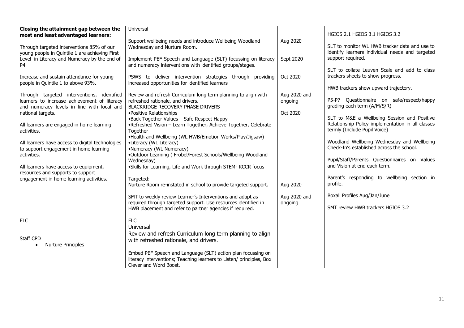| Closing the attainment gap between the                                                                                                   | Universal                                                                                                                                                      |                         |                                                                                                  |
|------------------------------------------------------------------------------------------------------------------------------------------|----------------------------------------------------------------------------------------------------------------------------------------------------------------|-------------------------|--------------------------------------------------------------------------------------------------|
| most and least advantaged learners:                                                                                                      |                                                                                                                                                                |                         | HGIOS 2.1 HGIOS 3.1 HGIOS 3.2                                                                    |
| Through targeted interventions 85% of our<br>young people in Quintile 1 are achieving First                                              | Support wellbeing needs and introduce Wellbeing Woodland<br>Wednesday and Nurture Room.                                                                        | Aug 2020                | SLT to monitor WL HWB tracker data and use to<br>identify learners individual needs and targeted |
| Level in Literacy and Numeracy by the end of<br>P <sub>4</sub>                                                                           | Implement PEF Speech and Language (SLT) focussing on literacy<br>and numeracy interventions with identified groups/stages.                                     | Sept 2020               | support required.<br>SLT to collate Leuven Scale and add to class                                |
| Increase and sustain attendance for young<br>people in Quintile 1 to above 93%.                                                          | PSWS to deliver intervention strategies through providing<br>increased opportunities for identified learners                                                   | Oct 2020                | trackers sheets to show progress.                                                                |
|                                                                                                                                          |                                                                                                                                                                |                         | HWB trackers show upward trajectory.                                                             |
| Through targeted interventions, identified<br>learners to increase achievement of literacy<br>and numeracy levels in line with local and | Review and refresh Curriculum long term planning to align with<br>refreshed rationale, and drivers.<br>BLACKRIDGE RECOVERY PHASE DRIVERS                       | Aug 2020 and<br>ongoing | P5-P7 Questionnaire on safe/respect/happy<br>grading each term (A/M/S/R)                         |
| national targets.                                                                                                                        | ·Positive Relationships<br>•Back Together Values - Safe Respect Happy                                                                                          | Oct 2020                | SLT to M&E a Wellbeing Session and Positive                                                      |
| All learners are engaged in home learning<br>activities.                                                                                 | .Refreshed Vision - Learn Together, Achieve Together, Celebrate<br>Together<br>•Health and Wellbeing (WL HWB/Emotion Works/Play/Jigsaw)                        |                         | Relationship Policy implementation in all classes<br>termly.(Include Pupil Voice)                |
| All learners have access to digital technologies<br>to support engagement in home learning                                               | •Literacy (WL Literacy)<br>•Numeracy (WL Numeracy)                                                                                                             |                         | Woodland Wellbeing Wednesday and Wellbeing<br>Check-In's established across the school.          |
| activities.<br>All learners have access to equipment,                                                                                    | •Outdoor Learning ( Frobel/Forest Schools/Wellbeing Woodland<br>Wednesday)<br>.Skills for Learning, Life and Work through STEM- RCCR focus                     |                         | Pupil/Staff/Parents Questionnaires on Values<br>and Vision at end each term.                     |
| resources and supports to support                                                                                                        |                                                                                                                                                                |                         |                                                                                                  |
| engagement in home learning activities.                                                                                                  | Targeted:<br>Nurture Room re-instated in school to provide targeted support.                                                                                   | Aug 2020                | Parent's responding to wellbeing section in<br>profile.                                          |
|                                                                                                                                          | SMT to weekly review Learner's Interventions and adapt as<br>required through targeted support. Use resources identified in                                    | Aug 2020 and<br>ongoing | Boxall Profiles Aug/Jan/June                                                                     |
|                                                                                                                                          | HWB placement and refer to partner agencies if required.                                                                                                       |                         | SMT review HWB trackers HGIOS 3.2                                                                |
| <b>ELC</b>                                                                                                                               | <b>ELC</b><br>Universal                                                                                                                                        |                         |                                                                                                  |
| Staff CPD                                                                                                                                | Review and refresh Curriculum long term planning to align<br>with refreshed rationale, and drivers.                                                            |                         |                                                                                                  |
| <b>Nurture Principles</b><br>$\bullet$                                                                                                   |                                                                                                                                                                |                         |                                                                                                  |
|                                                                                                                                          | Embed PEF Speech and Language (SLT) action plan focussing on<br>literacy interventions; Teaching learners to Listen/ principles, Box<br>Clever and Word Boost. |                         |                                                                                                  |
|                                                                                                                                          |                                                                                                                                                                |                         |                                                                                                  |